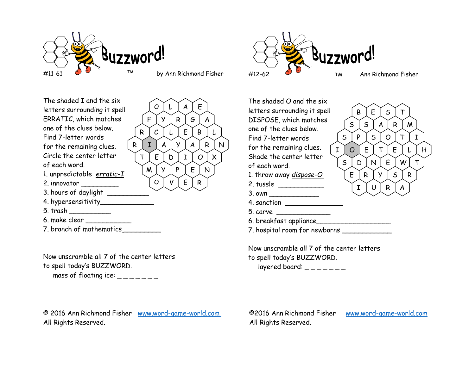

F Y R G A

 $B \mid L$ 

 $O L A E$ 

 $Y P E N$ 

O V E R

The shaded I and the six letters surrounding it spell ERRATIC, which matches one of the clues below. Find 7-letter words for the remaining clues. Circle the center letter  $\gamma_{\tau}$ of each word. 1. unpredictable *erratic-I* 2. innovator \_\_\_\_\_\_\_\_\_ 3. hours of daylight 4. hypersensitivity\_\_\_\_\_\_\_\_\_\_\_\_\_ 5. trash \_\_\_\_\_\_\_\_\_\_ 6. make clear \_\_\_\_\_\_\_\_\_\_\_  $R C L E$  $R I A Y A R N$  $T \mid E \mid D \mid I \mid O \mid X \mid S$ 

7. branch of mathematics

Now unscramble all 7 of the center letters to spell today's BUZZWORD. mass of floating ice:  $\frac{1}{2}$  \_\_\_\_\_\_

© 2016 Ann Richmond Fisher www.word-game-world.com ©2016 Ann Richmond Fisher www.word-game-world.com All Rights Reserved. All Rights Reserved.



 $R$   $Y$   $S$   $R$ 

 $I \mid U \mid R \mid A \mid$ 

 $B \mid E \mid S \mid T$ 

The shaded O and the six letters surrounding it spell DISPOSE, which matches  $\sqrt{S}$ one of the clues below. Find 7-letter words for the remaining clues.  $\boxed{I}$ Shade the center letter  $\searrow$ of each word. 1. throw away *dispose-O*  $\left[ \begin{array}{ccc} \infty & \infty \\ \infty & \infty \end{array} \right]$ 2. tussle \_\_\_\_\_\_\_\_\_\_\_  $3.$  own  $\overline{\phantom{a}}$  $S \mid S \mid A \mid R \mid M$  $S \mid P \mid S \mid O \mid T \mid I \mid$  $I$   $O$   $E$   $\vert$   $T$   $\vert$   $E$   $\vert$   $L$   $\vert$   $H$   $\vert$  $S \mid D \mid N \mid E \mid W \mid T \mid$ 

- 4. sanction \_\_\_\_\_\_\_\_\_\_\_\_\_\_
- 5. carve \_\_\_\_\_\_\_\_\_\_\_\_\_
- 6. breakfast appliance\_\_\_\_\_\_\_\_\_\_\_\_\_\_\_\_\_\_
- 7. hospital room for newborns \_\_\_\_\_\_\_\_\_\_\_\_\_

Now unscramble all 7 of the center letters to spell today's BUZZWORD. layered board:  $\frac{1}{2}$  \_ \_ \_ \_ \_ \_